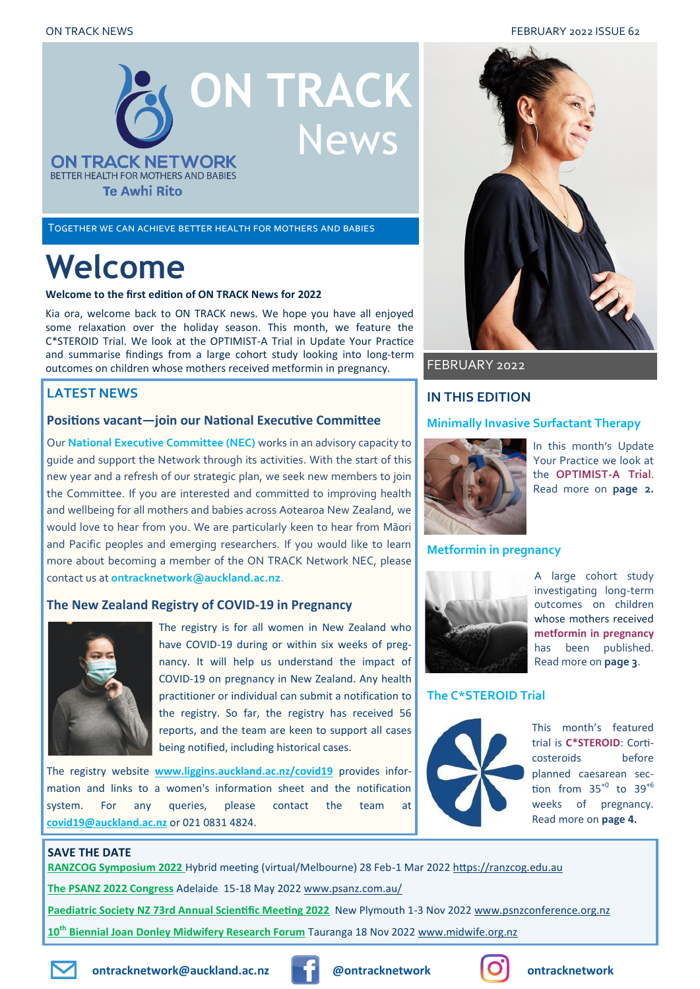ON TRACK NEWS FEBRUARY 2022 ISSUE 62



Together we can achieve better health for mothers and babies

# **Welcome**

#### **Welcome to the first edition of ON TRACK News for 2022**

Kia ora, welcome back to ON TRACK news. We hope you have all enjoyed some relaxation over the holiday season. This month, we feature the C\*STEROID Trial. We look at the OPTIMIST-A Trial in Update Your Practice and summarise findings from a large cohort study looking into long-term outcomes on children whose mothers received metformin in pregnancy.

# **LATEST NEWS**

## **Positions vacant—join our National Executive Committee**

Our **National Executive Committee (NEC)** works in an advisory capacity to guide and support the Network through its activities. With the start of this new year and a refresh of our strategic plan, we seek new members to join the Committee. If you are interested and committed to improving health and wellbeing for all mothers and babies across Aotearoa New Zealand, we would love to hear from you. We are particularly keen to hear from Māori and Pacific peoples and emerging researchers. If you would like to learn more about becoming a member of the ON TRACK Network NEC, please contact us at **[ontracknetwork@auckland.ac.nz](mailto:ontracknetwork@auckland.ac.nz)**.

## **The New Zealand Registry of COVID-19 in Pregnancy**



The registry is for all women in New Zealand who have COVID-19 during or within six weeks of pregnancy. It will help us understand the impact of COVID-19 on pregnancy in New Zealand. Any health practitioner or individual can submit a notification to the registry. So far, the registry has received 56 reports, and the team are keen to support all cases being notified, including historical cases.

The registry website **[www.liggins.auckland.ac.nz/covid19](http://www.liggins.auckland.ac.nz/covid19)** provides information and links to a women's information sheet and the notification system. For any queries, please contact the team at **[covid19@auckland.ac.nz](mailto:covid19@auckland.ac.nz)** or 021 0831 4824.



FEBRUARY 2022

# **IN THIS EDITION**

#### **Minimally Invasive Surfactant Therapy**



In this month's Update Your Practice we look at the **OPTIMIST-A Trial**. Read more on **page 2.**

## **Metformin in pregnancy**



A large cohort study investigating long-term outcomes on children whose mothers received **metformin in pregnancy** has been published. Read more on **page 3**.

#### **The C\*STEROID Trial**



This month's featured trial is **C\*STEROID**: Corticosteroids before planned caesarean section from  $35^{+0}$  to  $39^{+6}$ weeks of pregnancy. Read more on **page 4.**

#### **SAVE THE DATE**

**RANZCOG Symposium 2022** Hybrid meeting (virtual/Melbourne) 28 Feb-1 Mar 2022 [https://ranzcog.edu.au](https://ranzcog.eventsair.com/ranzcog-scientific-symposium/)

**[The PSANZ 2022 Congress](http://www.psanz.com.au/meetings-and-events/meetings-and-events-2/)** Adelaide 15-18 May 2022 [www.psanz.com.au/](http://www.psanz.com.au/meetings-and-events/)

**[Paediatric Society NZ 73rd Annual Scientific Meeting 2022](https://www.paediatrics.org.nz/)** New Plymouth 1-3 Nov 2022 [www.psnzconference.org.nz](https://forumpoint2.eventsair.com/psnz-72nd-asm-2021)

**10th [Biennial Joan Donley Midwifery Research Forum](https://www.midwife.org.nz/midwives/research/joan-donley-midwifery-research-collaboration-jdmrc/joan-donley-midwifery-research-forum/)** Tauranga 18 Nov 2022 [www.midwife.org.nz](https://www.midwife.org.nz/midwives/research/joan-donley-midwifery-research-collaboration-jdmrc/joan-donley-midwifery-research-forum/)





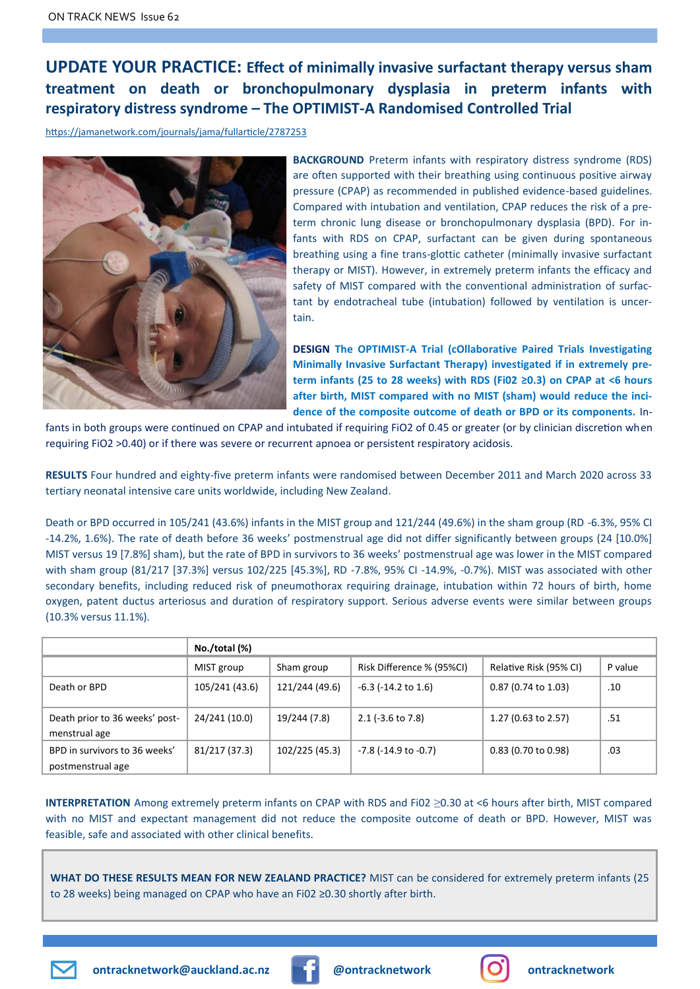# **UPDATE YOUR PRACTICE: Effect of minimally invasive surfactant therapy versus sham treatment on death or bronchopulmonary dysplasia in preterm infants with respiratory distress syndrome – The OPTIMIST-A Randomised Controlled Trial**

[https://jamanetwork.com/journals/jama/fullarticle/2787253](https://protect-au.mimecast.com/s/rA6JCVARD0TMEPMptzOCvr?domain=jamanetwork.com)



**BACKGROUND** Preterm infants with respiratory distress syndrome (RDS) are often supported with their breathing using continuous positive airway pressure (CPAP) as recommended in published evidence-based guidelines. Compared with intubation and ventilation, CPAP reduces the risk of a preterm chronic lung disease or bronchopulmonary dysplasia (BPD). For infants with RDS on CPAP, surfactant can be given during spontaneous breathing using a fine trans-glottic catheter (minimally invasive surfactant therapy or MIST). However, in extremely preterm infants the efficacy and safety of MIST compared with the conventional administration of surfactant by endotracheal tube (intubation) followed by ventilation is uncertain.

**DESIGN The OPTIMIST-A Trial (cOllaborative Paired Trials Investigating Minimally Invasive Surfactant Therapy) investigated if in extremely preterm infants (25 to 28 weeks) with RDS (Fi02 ≥0.3) on CPAP at <6 hours after birth, MIST compared with no MIST (sham) would reduce the incidence of the composite outcome of death or BPD or its components.** In-

fants in both groups were continued on CPAP and intubated if requiring FiO2 of 0.45 or greater (or by clinician discretion when requiring FiO2 >0.40) or if there was severe or recurrent apnoea or persistent respiratory acidosis.

**RESULTS** Four hundred and eighty-five preterm infants were randomised between December 2011 and March 2020 across 33 tertiary neonatal intensive care units worldwide, including New Zealand.

Death or BPD occurred in 105/241 (43.6%) infants in the MIST group and 121/244 (49.6%) in the sham group (RD -6.3%, 95% CI -14.2%, 1.6%). The rate of death before 36 weeks' postmenstrual age did not differ significantly between groups (24 [10.0%] MIST versus 19 [7.8%] sham), but the rate of BPD in survivors to 36 weeks' postmenstrual age was lower in the MIST compared with sham group (81/217 [37.3%] versus 102/225 [45.3%], RD -7.8%, 95% CI -14.9%, -0.7%). MIST was associated with other secondary benefits, including reduced risk of pneumothorax requiring drainage, intubation within 72 hours of birth, home oxygen, patent ductus arteriosus and duration of respiratory support. Serious adverse events were similar between groups (10.3% versus 11.1%).

|                                                    | No./total (%)  |                |                              |                        |         |  |
|----------------------------------------------------|----------------|----------------|------------------------------|------------------------|---------|--|
|                                                    | MIST group     | Sham group     | Risk Difference % (95%CI)    | Relative Risk (95% CI) | P value |  |
| Death or BPD                                       | 105/241 (43.6) | 121/244 (49.6) | $-6.3$ ( $-14.2$ to 1.6)     | 0.87 (0.74 to 1.03)    | .10     |  |
| Death prior to 36 weeks' post-<br>menstrual age    | 24/241 (10.0)  | 19/244 (7.8)   | $2.1$ (-3.6 to 7.8)          | 1.27 (0.63 to 2.57)    | .51     |  |
| BPD in survivors to 36 weeks'<br>postmenstrual age | 81/217 (37.3)  | 102/225 (45.3) | $-7.8$ ( $-14.9$ to $-0.7$ ) | $0.83$ (0.70 to 0.98)  | .03     |  |

**INTERPRETATION** Among extremely preterm infants on CPAP with RDS and Fi02 ≥0.30 at <6 hours after birth, MIST compared with no MIST and expectant management did not reduce the composite outcome of death or BPD. However, MIST was feasible, safe and associated with other clinical benefits.

**WHAT DO THESE RESULTS MEAN FOR NEW ZEALAND PRACTICE?** MIST can be considered for extremely preterm infants (25 to 28 weeks) being managed on CPAP who have an Fi02 ≥0.30 shortly after birth.





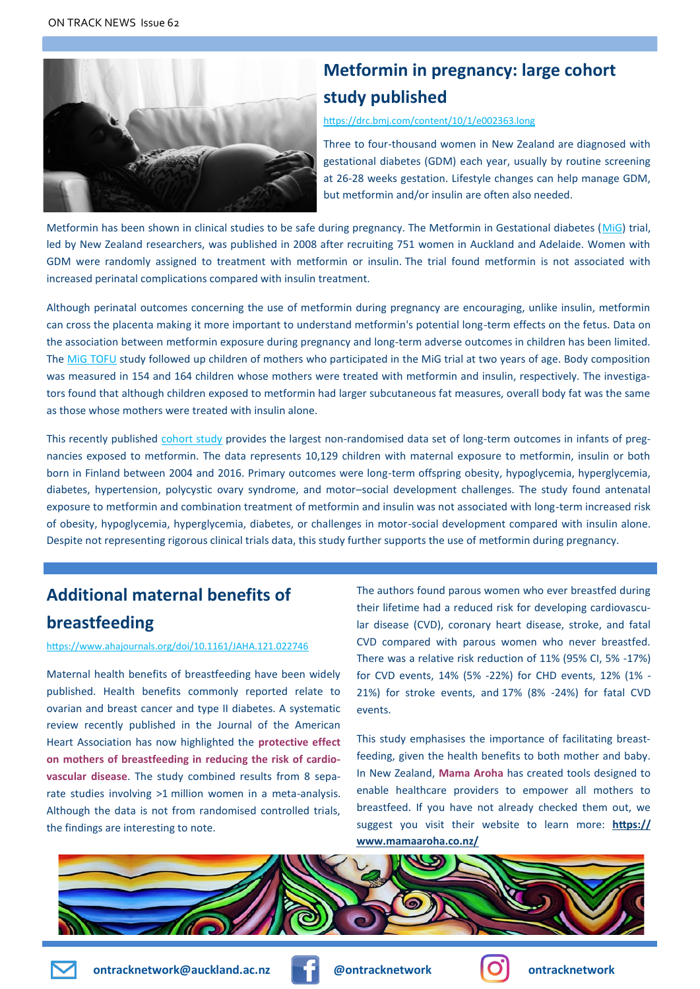

# **Metformin in pregnancy: large cohort study published**

#### <https://drc.bmj.com/content/10/1/e002363.long>

Three to four-thousand women in New Zealand are diagnosed with gestational diabetes (GDM) each year, usually by routine screening at 26-28 weeks gestation. Lifestyle changes can help manage GDM, but metformin and/or insulin are often also needed.

Metformin has been shown in clinical studies to be safe during pregnancy. The Metformin in Gestational diabetes ([MiG\)](https://pubmed.ncbi.nlm.nih.gov/18463376/) trial, led by New Zealand researchers, was published in 2008 after recruiting 751 women in Auckland and Adelaide. Women with GDM were randomly assigned to treatment with metformin or insulin. The trial found metformin is not associated with increased perinatal complications compared with insulin treatment.

Although perinatal outcomes concerning the use of metformin during pregnancy are encouraging, unlike insulin, metformin can cross the placenta making it more important to understand metformin's potential long-term effects on the fetus. Data on the association between metformin exposure during pregnancy and long-term adverse outcomes in children has been limited. The [MiG TOFU](https://doi.org/10.2337/dc11-0660) study followed up children of mothers who participated in the MiG trial at two years of age. Body composition was measured in 154 and 164 children whose mothers were treated with metformin and insulin, respectively. The investigators found that although children exposed to metformin had larger subcutaneous fat measures, overall body fat was the same as those whose mothers were treated with insulin alone.

This recently published [cohort study](https://drc.bmj.com/content/10/1/e002363.long) provides the largest non-randomised data set of long-term outcomes in infants of pregnancies exposed to metformin. The data represents 10,129 children with maternal exposure to metformin, insulin or both born in Finland between 2004 and 2016. Primary outcomes were long-term offspring obesity, hypoglycemia, hyperglycemia, diabetes, hypertension, polycystic ovary syndrome, and motor–social development challenges. The study found antenatal exposure to metformin and combination treatment of metformin and insulin was not associated with long-term increased risk of obesity, hypoglycemia, hyperglycemia, diabetes, or challenges in motor-social development compared with insulin alone. Despite not representing rigorous clinical trials data, this study further supports the use of metformin during pregnancy.

# **Additional maternal benefits of breastfeeding**

### <https://www.ahajournals.org/doi/10.1161/JAHA.121.022746>

Maternal health benefits of breastfeeding have been widely published. Health benefits commonly reported relate to ovarian and breast cancer and type II diabetes. A systematic review recently published in the Journal of the American Heart Association has now highlighted the **protective effect on mothers of breastfeeding in reducing the risk of cardiovascular disease**. The study combined results from 8 separate studies involving >1 million women in a meta-analysis. Although the data is not from randomised controlled trials, the findings are interesting to note.

The authors found parous women who ever breastfed during their lifetime had a reduced risk for developing cardiovascular disease (CVD), coronary heart disease, stroke, and fatal CVD compared with parous women who never breastfed. There was a relative risk reduction of 11% (95% CI, 5% ‐17%) for CVD events, 14% (5% ‐22%) for CHD events, 12% (1% ‐ 21%) for stroke events, and 17% (8% ‐24%) for fatal CVD events.

This study emphasises the importance of facilitating breastfeeding, given the health benefits to both mother and baby. In New Zealand, **Mama Aroha** has created tools designed to enable healthcare providers to empower all mothers to breastfeed. If you have not already checked them out, we suggest you visit their website to learn more: **[https://](https://www.mamaaroha.co.nz/) [www.mamaaroha.co.nz/](https://www.mamaaroha.co.nz/)**



**ontracknetwork@auckland.ac.nz @ontracknetwork ontracknetwork**